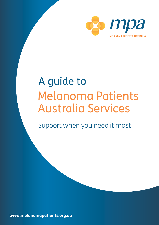

# A guide to Melanoma Patients Australia Services

Support when you need it most

**www.melanomapatients.org.au**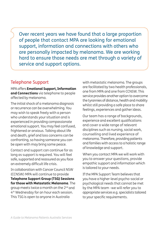Over recent years we have found that a large proportion of people that contact MPA are looking for emotional support, information and connections with others who are personally impacted by melanoma. We are working hard to ensure those needs are met through a variety of service and support options.

## Telephone Support

MPA offers **Emotional Support, Information and Connections** via telephone to people affected by melanoma.

The initial shock of a melanoma diagnosis or recurrence can be overwhelming. You may wish to speak freely with a person who understands your situation and is experienced in providing compassionate emotional support. You may feel confused, frightened or anxious. Talking about life and death, grief and loss concerns can be confronting, so having someone you can be open with may bring some peace.

Contact and support can continue for as long as support is required. You will feel safe, supported and reassured as you face an extremely difficult life crisis.

In collaboration with Cancer Council NSW (CCNSW) MPA will continue to provide **Telephone Support Group (TSG) Sessions for those with Metastatic Melanoma**. The group meets twice a month on the 2nd and 4th Wednesday for an hour each session. This TSG is open to anyone in Australia

with metastatic melanoma. The groups are facilitated by two health professionals, one from MPA and one from CCNSW. This service provides another option to overcome the tyrannies of distance, health and mobility whilst still providing a safe place to share feelings, experiences and gather ideas.

Our team has a range of backgrounds, experience and excellent qualifications and cover a wide range of relevant disciplines such as nursing, social work, counselling and lived experience of melanoma. Therefore, providing patients and families with access to a holistic range of knowledge and support.

When you contact MPA we will work with you to answer your questions, provide empathic support and information which is tailored to your needs.

If the MPA Support Team believes that you have a higher-level psycho-social or psychological needs that cannot be met by the MPA team -we will refer you to appropriate services e.g. specialists tailored to your specific requirements.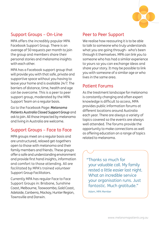

## Support Groups – On-Line

MPA offers the incredibly popular MPA Facebook Support Group. There is an average of 50 requests per month to join the group and members share their personal stories and melanoma insights with each other

MPA has a Facebook support group that will provide you with that safe, private and supportive space without you having to leave your home and is available 24/7. The barriers of distance, time, health and age can be overcome. This is a peer to peer support group, moderated by the MPA Support Team on a regular basis.

Go to the Facebook Page: *Melanoma Patients Australia Closed Support Group* and ask to join. All those impacted by melanoma and living in Australia are welcome.

## Support Groups – Face to Face

MPA groups meet on a regular basis and are unstructured, relaxed get-togethers open to those with melanoma and their family members and friends. These groups offer a safe and understanding environment and provide first hand insights, information and comfort to those attending. All are facilitated by MPA's trained volunteer Support Group Facilitators.

Currently MPA has regular Face to Face Support Groups in: Brisbane, Sunshine Coast, Melbourne, Toowoomba, Gold Coast, Adelaide, Canberra, Mackay, Hunter Region, Townsville and Darwin.

## Peer to Peer Support

We realise how reassuring it is to be able to talk to someone who truly understands what you are going through– who's been through it themselves. MPA can link you to someone who has had a similar experience to yours so you can exchange ideas and share your story. It may be possible to link you with someone of a similar age or who lives in the same area.

## Patient Forums

As the treatment landscape for melanoma is constantly changing and often expert knowledge is difficult to access, MPA provides public information forums at different locations around Australia each year. There are always a variety of topics covered so the events are always well attended. The forums provide the opportunity to make connections as well as offering education on a range of topics related to melanoma.

"Thanks so much for your valuable call. My family rested a little easier last night. What an incredible service your organisation runs. Just fantastic. Much gratitude."

Adam, MPA Member